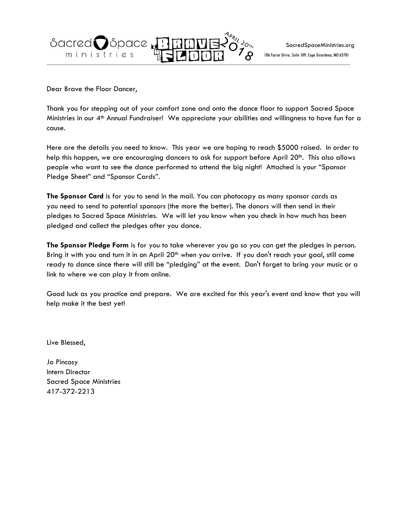$\begin{picture}(180,190) \put(0,0){\line(1,0){100}} \put(10,0){\line(1,0){100}} \put(10,0){\line(1,0){100}} \put(10,0){\line(1,0){100}} \put(10,0){\line(1,0){100}} \put(10,0){\line(1,0){100}} \put(10,0){\line(1,0){100}} \put(10,0){\line(1,0){100}} \put(10,0){\line(1,0){100}} \put(10,0){\line(1,0){100}} \put(10,0){\line(1,0){100$ Sacred Space Ļ យ្ ministries e

Dear Brave the Floor Dancer,

Thank you for stepping out of your comfort zone and onto the dance floor to support Sacred Space Ministries in our 4th Annual Fundraiser! We appreciate your abilities and willingness to have fun for a cause.

Here are the details you need to know. This year we are hoping to reach \$5000 raised. In order to help this happen, we are encouraging dancers to ask for support before April 20<sup>th</sup>. This also allows people who want to see the dance performed to attend the big night! Attached is your "Sponsor Pledge Sheet" and "Sponsor Cards".

**The Sponsor Card** is for you to send in the mail. You can photocopy as many sponsor cards as you need to send to potential sponsors (the more the better). The donors will then send in their pledges to Sacred Space Ministries. We will let you know when you check in how much has been pledged and collect the pledges after you dance.

**The Sponsor Pledge Form** is for you to take wherever you go so you can get the pledges in person. Bring it with you and turn it in on April 20<sup>th</sup> when you arrive. If you don't reach your goal, still come ready to dance since there will still be "pledging" at the event. Don't forget to bring your music or a link to where we can play it from online.

Good luck as you practice and prepare. We are excited for this year's event and know that you will help make it the best yet!

Live Blessed,

Jo Pincosy Intern Director Sacred Space Ministries 417-372-2213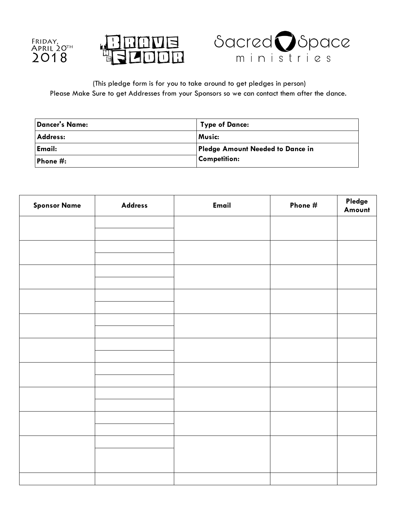





(This pledge form is for you to take around to get pledges in person) Please Make Sure to get Addresses from your Sponsors so we can contact them after the dance.

| <b>Dancer's Name:</b> | <b>Type of Dance:</b>            |
|-----------------------|----------------------------------|
| <b>Address:</b>       | <b>Music:</b>                    |
| Email:                | Pledge Amount Needed to Dance in |
| Phone $\#$ :          | <b>Competition:</b>              |

| <b>Sponsor Name</b> | <b>Address</b> | Email | Phone # | Pledge<br>Amount |
|---------------------|----------------|-------|---------|------------------|
|                     |                |       |         |                  |
|                     |                |       |         |                  |
|                     |                |       |         |                  |
|                     |                |       |         |                  |
|                     |                |       |         |                  |
|                     |                |       |         |                  |
|                     |                |       |         |                  |
|                     |                |       |         |                  |
|                     |                |       |         |                  |
|                     |                |       |         |                  |
|                     |                |       |         |                  |
|                     |                |       |         |                  |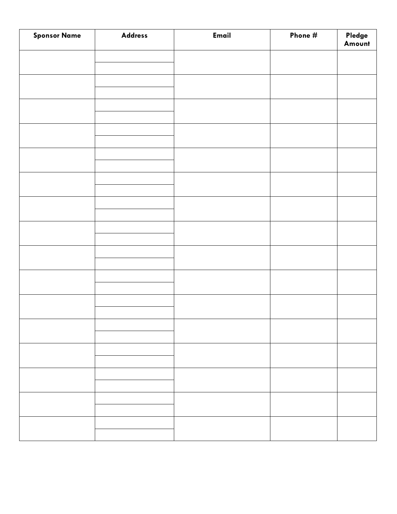| <b>Sponsor Name</b> | <b>Address</b> | Email | Phone # | Pledge<br>Amount |
|---------------------|----------------|-------|---------|------------------|
|                     |                |       |         |                  |
|                     |                |       |         |                  |
|                     |                |       |         |                  |
|                     |                |       |         |                  |
|                     |                |       |         |                  |
|                     |                |       |         |                  |
|                     |                |       |         |                  |
|                     |                |       |         |                  |
|                     |                |       |         |                  |
|                     |                |       |         |                  |
|                     |                |       |         |                  |
|                     |                |       |         |                  |
|                     |                |       |         |                  |
|                     |                |       |         |                  |
|                     |                |       |         |                  |
|                     |                |       |         |                  |
|                     |                |       |         |                  |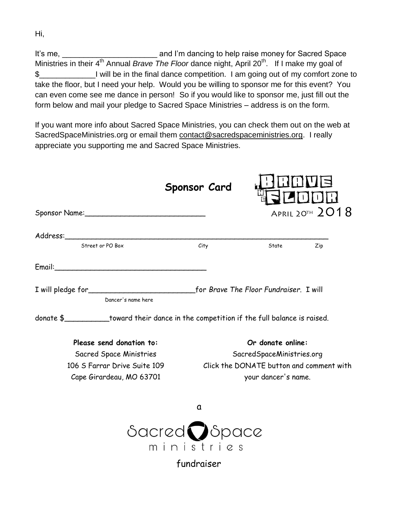It's me, **It's me**, **It's me**, **Example 2** and I'm dancing to help raise money for Sacred Space Ministries in their 4<sup>th</sup> Annual *Brave The Floor* dance night, April 20<sup>th</sup>. If I make my goal of \$\_\_\_\_\_\_\_\_\_\_\_\_\_I will be in the final dance competition. I am going out of my comfort zone to take the floor, but I need your help. Would you be willing to sponsor me for this event? You can even come see me dance in person! So if you would like to sponsor me, just fill out the form below and mail your pledge to Sacred Space Ministries – address is on the form.

If you want more info about Sacred Space Ministries, you can check them out on the web at SacredSpaceMinistries.org or email them [contact@sacredspaceministries.org.](mailto:contact@livesacredspace.org) I really appreciate you supporting me and Sacred Space Ministries.

|                                                                                          | <b>Sponsor Card</b>                     |                                          |                     |  |
|------------------------------------------------------------------------------------------|-----------------------------------------|------------------------------------------|---------------------|--|
|                                                                                          |                                         |                                          | APRIL 20TH $2018$   |  |
|                                                                                          |                                         |                                          |                     |  |
| Street or PO Box                                                                         | City                                    |                                          | State<br>Zip        |  |
| Email: Email:                                                                            |                                         |                                          |                     |  |
|                                                                                          |                                         |                                          |                     |  |
| Dancer's name here                                                                       |                                         |                                          |                     |  |
| donate \$___________toward their dance in the competition if the full balance is raised. |                                         |                                          |                     |  |
| Please send donation to:                                                                 |                                         |                                          | Or donate online:   |  |
| Sacred Space Ministries                                                                  |                                         | SacredSpaceMinistries.org                |                     |  |
| 106 S Farrar Drive Suite 109                                                             |                                         | Click the DONATE button and comment with |                     |  |
| Cape Girardeau, MO 63701                                                                 |                                         |                                          | your dancer's name. |  |
|                                                                                          | a                                       |                                          |                     |  |
|                                                                                          | $\delta$ acred $\bigcirc$ $\delta$ pace |                                          |                     |  |
|                                                                                          | ministr                                 |                                          |                     |  |

fundraiser

Hi,